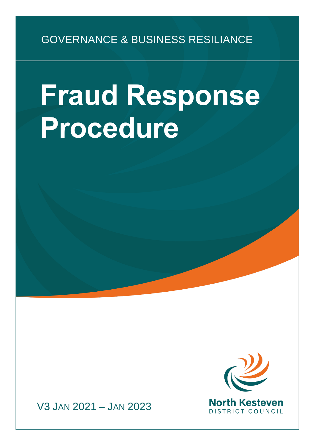# GOVERNANCE & BUSINESS RESILIANCE

# **Fraud Response Procedure**



V3 JAN 2021 – JAN 2023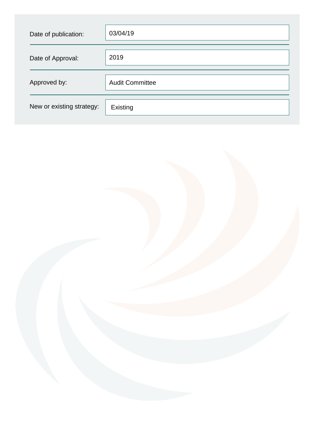| Date of publication:      | 03/04/19               |
|---------------------------|------------------------|
| Date of Approval:         | 2019                   |
| Approved by:              | <b>Audit Committee</b> |
| New or existing strategy: | Existing               |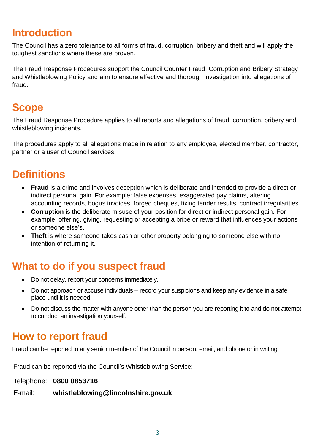#### **Introduction**

The Council has a zero tolerance to all forms of fraud, corruption, bribery and theft and will apply the toughest sanctions where these are proven.

The Fraud Response Procedures support the Council Counter Fraud, Corruption and Bribery Strategy and Whistleblowing Policy and aim to ensure effective and thorough investigation into allegations of fraud.

#### **Scope**

The Fraud Response Procedure applies to all reports and allegations of fraud, corruption, bribery and whistleblowing incidents.

The procedures apply to all allegations made in relation to any employee, elected member, contractor, partner or a user of Council services.

#### **Definitions**

- **Fraud** is a crime and involves deception which is deliberate and intended to provide a direct or indirect personal gain. For example: false expenses, exaggerated pay claims, altering accounting records, bogus invoices, forged cheques, fixing tender results, contract irregularities.
- **Corruption** is the deliberate misuse of your position for direct or indirect personal gain. For example: offering, giving, requesting or accepting a bribe or reward that influences your actions or someone else's.
- **Theft** is where someone takes cash or other property belonging to someone else with no intention of returning it.

#### **What to do if you suspect fraud**

- Do not delay, report your concerns immediately.
- Do not approach or accuse individuals record your suspicions and keep any evidence in a safe place until it is needed.
- Do not discuss the matter with anyone other than the person you are reporting it to and do not attempt to conduct an investigation yourself.

#### **How to report fraud**

Fraud can be reported to any senior member of the Council in person, email, and phone or in writing.

Fraud can be reported via the Council's Whistleblowing Service:

Telephone: **0800 0853716** 

E-mail: **[whistleblowing@lincolnshire.gov.uk](mailto:whistleblowing@lincolnshire.gov.uk)**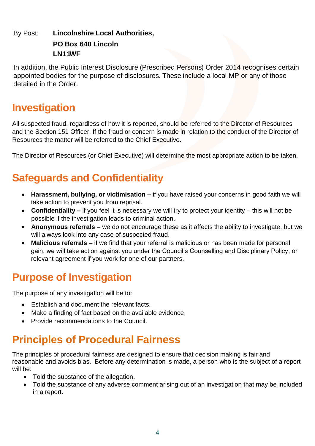#### By Post: **Lincolnshire Local Authorities, PO Box 640 Lincoln LN1 1WF**

In addition, the Public Interest Disclosure (Prescribed Persons) Order 2014 recognises certain appointed bodies for the purpose of disclosures. These include a local MP or any of those detailed in the Order.

#### **Investigation**

All suspected fraud, regardless of how it is reported, should be referred to the Director of Resources and the Section 151 Officer. If the fraud or concern is made in relation to the conduct of the Director of Resources the matter will be referred to the Chief Executive.

The Director of Resources (or Chief Executive) will determine the most appropriate action to be taken.

# **Safeguards and Confidentiality**

- **Harassment, bullying, or victimisation –** if you have raised your concerns in good faith we will take action to prevent you from reprisal.
- **Confidentiality –** if you feel it is necessary we will try to protect your identity this will not be possible if the investigation leads to criminal action.
- **Anonymous referrals –** we do not encourage these as it affects the ability to investigate, but we will always look into any case of suspected fraud.
- **Malicious referrals –** if we find that your referral is malicious or has been made for personal gain, we will take action against you under the Council's Counselling and Disciplinary Policy, or relevant agreement if you work for one of our partners.

## **Purpose of Investigation**

The purpose of any investigation will be to:

- Establish and document the relevant facts.
- Make a finding of fact based on the available evidence.
- Provide recommendations to the Council.

# **Principles of Procedural Fairness**

The principles of procedural fairness are designed to ensure that decision making is fair and reasonable and avoids bias. Before any determination is made, a person who is the subject of a report will be:

- Told the substance of the allegation.
- Told the substance of any adverse comment arising out of an investigation that may be included in a report.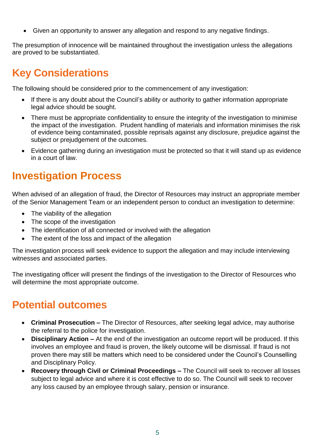Given an opportunity to answer any allegation and respond to any negative findings.

The presumption of innocence will be maintained throughout the investigation unless the allegations are proved to be substantiated.

## **Key Considerations**

The following should be considered prior to the commencement of any investigation:

- If there is any doubt about the Council's ability or authority to gather information appropriate legal advice should be sought.
- There must be appropriate confidentiality to ensure the integrity of the investigation to minimise the impact of the investigation. Prudent handling of materials and information minimises the risk of evidence being contaminated, possible reprisals against any disclosure, prejudice against the subject or prejudgement of the outcomes.
- Evidence gathering during an investigation must be protected so that it will stand up as evidence in a court of law.

#### **Investigation Process**

When advised of an allegation of fraud, the Director of Resources may instruct an appropriate member of the Senior Management Team or an independent person to conduct an investigation to determine:

- The viability of the allegation
- The scope of the investigation
- The identification of all connected or involved with the allegation
- The extent of the loss and impact of the allegation

The investigation process will seek evidence to support the allegation and may include interviewing witnesses and associated parties.

The investigating officer will present the findings of the investigation to the Director of Resources who will determine the most appropriate outcome.

#### **Potential outcomes**

- **Criminal Prosecution –** The Director of Resources, after seeking legal advice, may authorise the referral to the police for investigation.
- **Disciplinary Action –** At the end of the investigation an outcome report will be produced. If this involves an employee and fraud is proven, the likely outcome will be dismissal. If fraud is not proven there may still be matters which need to be considered under the Council's Counselling and Disciplinary Policy.
- **Recovery through Civil or Criminal Proceedings –** The Council will seek to recover all losses subject to legal advice and where it is cost effective to do so. The Council will seek to recover any loss caused by an employee through salary, pension or insurance.